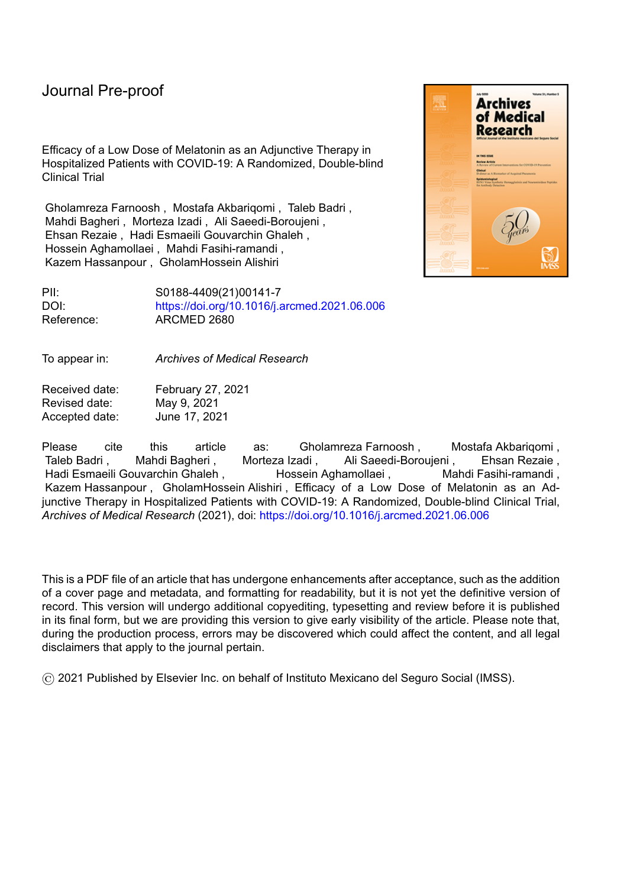Efficacy of a Low Dose of Melatonin as an Adjunctive Therapy in Hospitalized Patients with COVID-19: A Randomized, Double-blind Clinical Trial

Gholamreza Farnoosh , Mostafa Akbariqomi , Taleb Badri , Mahdi Bagheri , Morteza Izadi , Ali Saeedi-Boroujeni , Ehsan Rezaie , Hadi Esmaeili Gouvarchin Ghaleh , Hossein Aghamollaei , Mahdi Fasihi-ramandi , Kazem Hassanpour , GholamHossein Alishiri



PII: S0188-4409(21)00141-7 DOI: <https://doi.org/10.1016/j.arcmed.2021.06.006> Reference: ARCMED 2680

To appear in: *Archives of Medical Research*

Received date: February 27, 2021 Revised date: May 9, 2021 Accepted date: June 17, 2021

Please cite this article as: Gholamreza Farnoosh, Mostafa Akbariqomi, Taleb Badri , Mahdi Bagheri , Morteza Izadi , Ali Saeedi-Boroujeni , Ehsan Rezaie , Hadi Esmaeili Gouvarchin Ghaleh , Kare Hossein Aghamollaei , Kahdi Fasihi-ramandi , Kazem Hassanpour , GholamHossein Alishiri , Efficacy of a Low Dose of Melatonin as an Adjunctive Therapy in Hospitalized Patients with COVID-19: A Randomized, Double-blind Clinical Trial, *Archives of Medical Research* (2021), doi: <https://doi.org/10.1016/j.arcmed.2021.06.006>

This is a PDF file of an article that has undergone enhancements after acceptance, such as the addition of a cover page and metadata, and formatting for readability, but it is not yet the definitive version of record. This version will undergo additional copyediting, typesetting and review before it is published in its final form, but we are providing this version to give early visibility of the article. Please note that, during the production process, errors may be discovered which could affect the content, and all legal disclaimers that apply to the journal pertain.

© 2021 Published by Elsevier Inc. on behalf of Instituto Mexicano del Seguro Social (IMSS).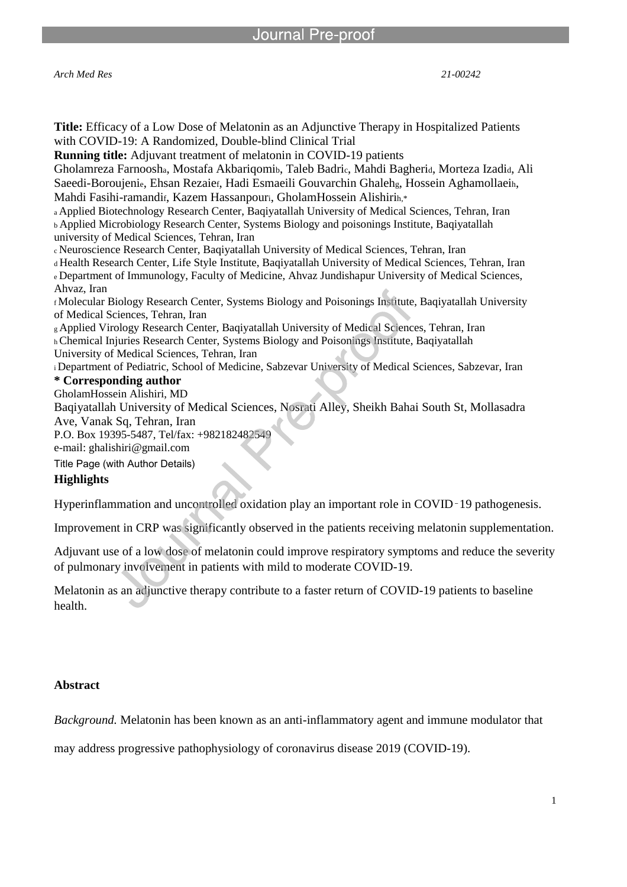l

*Arch Med Res 21-00242*

| <b>Title:</b> Efficacy of a Low Dose of Melatonin as an Adjunctive Therapy in Hospitalized Patients       |
|-----------------------------------------------------------------------------------------------------------|
| with COVID-19: A Randomized, Double-blind Clinical Trial                                                  |
| <b>Running title:</b> Adjuvant treatment of melatonin in COVID-19 patients                                |
| Gholamreza Farnoosha, Mostafa Akbariqomib, Taleb Badric, Mahdi Bagheria, Morteza Izadia, Ali              |
| Saeedi-Boroujenie, Ehsan Rezaier, Hadi Esmaeili Gouvarchin Ghalehg, Hossein Aghamollaein,                 |
| Mahdi Fasihi-ramandif, Kazem Hassanpouri, GholamHossein Alishirin,*                                       |
| a Applied Biotechnology Research Center, Baqiyatallah University of Medical Sciences, Tehran, Iran        |
| <b>b Applied Microbiology Research Center, Systems Biology and poisonings Institute, Baqiyatallah</b>     |
| university of Medical Sciences, Tehran, Iran                                                              |
| « Neuroscience Research Center, Baqiyatallah University of Medical Sciences, Tehran, Iran                 |
| d Health Research Center, Life Style Institute, Baqiyatallah University of Medical Sciences, Tehran, Iran |
| e Department of Immunology, Faculty of Medicine, Ahvaz Jundishapur University of Medical Sciences,        |
| Ahvaz, Iran                                                                                               |
| f Molecular Biology Research Center, Systems Biology and Poisonings Institute, Baqiyatallah University    |
| of Medical Sciences, Tehran, Iran                                                                         |
| g Applied Virology Research Center, Baqiyatallah University of Medical Sciences, Tehran, Iran             |
| h Chemical Injuries Research Center, Systems Biology and Poisonings Institute, Baqiyatallah               |
| University of Medical Sciences, Tehran, Iran                                                              |
| i Department of Pediatric, School of Medicine, Sabzevar University of Medical Sciences, Sabzevar, Iran    |
| * Corresponding author                                                                                    |
| GholamHossein Alishiri, MD                                                                                |
| Baqiyatallah University of Medical Sciences, Nosrati Alley, Sheikh Bahai South St, Mollasadra             |
| Ave, Vanak Sq, Tehran, Iran                                                                               |
| P.O. Box 19395-5487, Tel/fax: +982182482549                                                               |
| e-mail: ghalishiri@gmail.com                                                                              |
| Title Page (with Author Details)                                                                          |
| <b>Highlights</b>                                                                                         |
| Hyperinflammation and uncontrolled oxidation play an important role in COVID-19 pathogenesis.             |

Improvement in CRP was significantly observed in the patients receiving melatonin supplementation.

Adjuvant use of a low dose of melatonin could improve respiratory symptoms and reduce the severity of pulmonary involvement in patients with mild to moderate COVID-19.

Melatonin as an adjunctive therapy contribute to a faster return of COVID-19 patients to baseline health.

### **Abstract**

*Background.* Melatonin has been known as an anti-inflammatory agent and immune modulator that

may address progressive pathophysiology of coronavirus disease 2019 (COVID-19).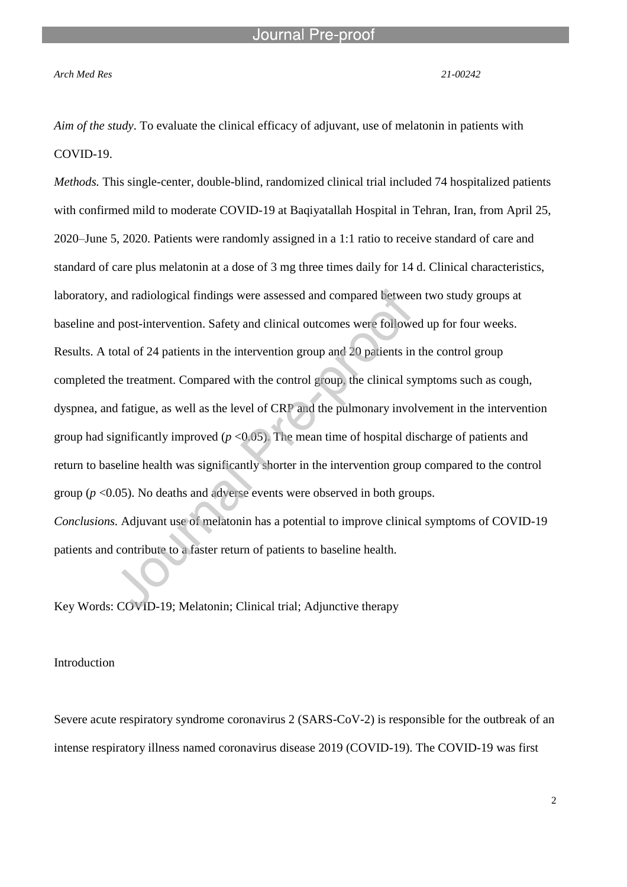*Arch Med Res 21-00242*

*Aim of the study*. To evaluate the clinical efficacy of adjuvant, use of melatonin in patients with COVID-19.

l

*Methods.* This single-center, double-blind, randomized clinical trial included 74 hospitalized patients with confirmed mild to moderate COVID-19 at Baqiyatallah Hospital in Tehran, Iran, from April 25, 2020–June 5, 2020. Patients were randomly assigned in a 1:1 ratio to receive standard of care and standard of care plus melatonin at a dose of 3 mg three times daily for 14 d. Clinical characteristics, laboratory, and radiological findings were assessed and compared between two study groups at baseline and post-intervention. Safety and clinical outcomes were followed up for four weeks. Results. A total of 24 patients in the intervention group and 20 patients in the control group completed the treatment. Compared with the control group, the clinical symptoms such as cough, dyspnea, and fatigue, as well as the level of CRP and the pulmonary involvement in the intervention group had significantly improved (*p* <0.05). The mean time of hospital discharge of patients and return to baseline health was significantly shorter in the intervention group compared to the control group ( $p$  <0.05). No deaths and adverse events were observed in both groups. *Conclusions.* Adjuvant use of melatonin has a potential to improve clinical symptoms of COVID-19 patients and contribute to a faster return of patients to baseline health.

Key Words: COVID-19; Melatonin; Clinical trial; Adjunctive therapy

Introduction

Severe acute respiratory syndrome coronavirus 2 (SARS-CoV-2) is responsible for the outbreak of an intense respiratory illness named coronavirus disease 2019 (COVID-19). The COVID-19 was first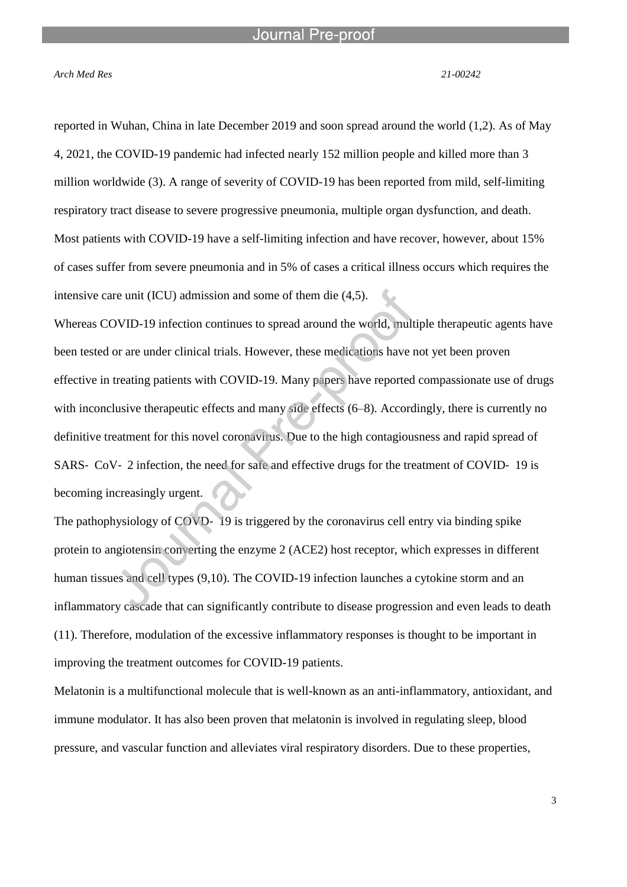*Arch Med Res 21-00242*

reported in Wuhan, China in late December 2019 and soon spread around the world (1,2). As of May 4, 2021, the COVID-19 pandemic had infected nearly 152 million people and killed more than 3 million worldwide (3). A range of severity of COVID-19 has been reported from mild, self-limiting respiratory tract disease to severe progressive pneumonia, multiple organ dysfunction, and death. Most patients with COVID-19 have a self-limiting infection and have recover, however, about 15% of cases suffer from severe pneumonia and in 5% of cases a critical illness occurs which requires the intensive care unit (ICU) admission and some of them die (4,5).

Whereas COVID-19 infection continues to spread around the world, multiple therapeutic agents have been tested or are under clinical trials. However, these medications have not yet been proven effective in treating patients with COVID-19. Many papers have reported compassionate use of drugs with inconclusive therapeutic effects and many side effects (6–8). Accordingly, there is currently no definitive treatment for this novel coronavirus. Due to the high contagiousness and rapid spread of SARS- CoV- 2 infection, the need for safe and effective drugs for the treatment of COVID- 19 is becoming increasingly urgent.

The pathophysiology of COVD-19 is triggered by the coronavirus cell entry via binding spike protein to angiotensin converting the enzyme 2 (ACE2) host receptor, which expresses in different human tissues and cell types (9,10). The COVID-19 infection launches a cytokine storm and an inflammatory cascade that can significantly contribute to disease progression and even leads to death (11). Therefore, modulation of the excessive inflammatory responses is thought to be important in improving the treatment outcomes for COVID-19 patients.

Melatonin is a multifunctional molecule that is well-known as an anti-inflammatory, antioxidant, and immune modulator. It has also been proven that melatonin is involved in regulating sleep, blood pressure, and vascular function and alleviates viral respiratory disorders. Due to these properties,

3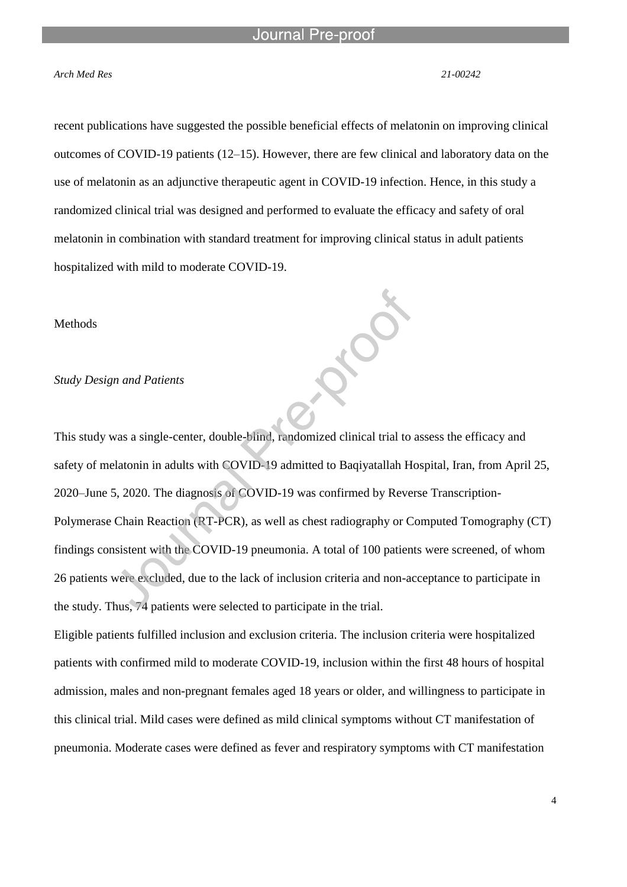#### *Arch Med Res 21-00242*

recent publications have suggested the possible beneficial effects of melatonin on improving clinical outcomes of COVID-19 patients (12–15). However, there are few clinical and laboratory data on the use of melatonin as an adjunctive therapeutic agent in COVID-19 infection. Hence, in this study a randomized clinical trial was designed and performed to evaluate the efficacy and safety of oral melatonin in combination with standard treatment for improving clinical status in adult patients hospitalized with mild to moderate COVID-19.

#### Methods

#### *Study Design and Patients*

This study was a single-center, double-blind, randomized clinical trial to assess the efficacy and safety of melatonin in adults with COVID-19 admitted to Baqiyatallah Hospital, Iran, from April 25, 2020–June 5, 2020. The diagnosis of COVID-19 was confirmed by Reverse Transcription-Polymerase Chain Reaction (RT-PCR), as well as chest radiography or Computed Tomography (CT) findings consistent with the COVID-19 pneumonia. A total of 100 patients were screened, of whom 26 patients were excluded, due to the lack of inclusion criteria and non-acceptance to participate in the study. Thus, 74 patients were selected to participate in the trial.

Eligible patients fulfilled inclusion and exclusion criteria. The inclusion criteria were hospitalized patients with confirmed mild to moderate COVID-19, inclusion within the first 48 hours of hospital admission, males and non-pregnant females aged 18 years or older, and willingness to participate in this clinical trial. Mild cases were defined as mild clinical symptoms without CT manifestation of pneumonia. Moderate cases were defined as fever and respiratory symptoms with CT manifestation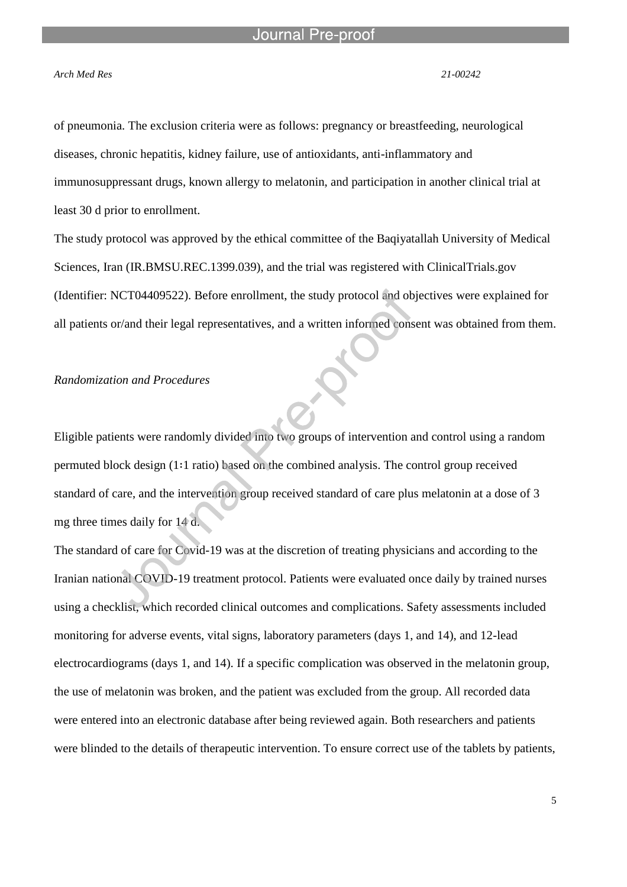#### Journal

l

#### *Arch Med Res 21-00242*

of pneumonia. The exclusion criteria were as follows: pregnancy or breastfeeding, neurological diseases, chronic hepatitis, kidney failure, use of antioxidants, anti-inflammatory and immunosuppressant drugs, known allergy to melatonin, and participation in another clinical trial at least 30 d prior to enrollment.

The study protocol was approved by the ethical committee of the Baqiyatallah University of Medical Sciences, Iran (IR.BMSU.REC.1399.039), and the trial was registered with ClinicalTrials.gov (Identifier: NCT04409522). Before enrollment, the study protocol and objectives were explained for all patients or/and their legal representatives, and a written informed consent was obtained from them.

#### *Randomization and Procedures*

Eligible patients were randomly divided into two groups of intervention and control using a random permuted block design (1∶1 ratio) based on the combined analysis. The control group received standard of care, and the intervention group received standard of care plus melatonin at a dose of 3 mg three times daily for 14 d.

The standard of care for Covid-19 was at the discretion of treating physicians and according to the Iranian national COVID-19 treatment protocol. Patients were evaluated once daily by trained nurses using a checklist, which recorded clinical outcomes and complications. Safety assessments included monitoring for adverse events, vital signs, laboratory parameters (days 1, and 14), and 12-lead electrocardiograms (days 1, and 14). If a specific complication was observed in the melatonin group, the use of melatonin was broken, and the patient was excluded from the group. All recorded data were entered into an electronic database after being reviewed again. Both researchers and patients were blinded to the details of therapeutic intervention. To ensure correct use of the tablets by patients,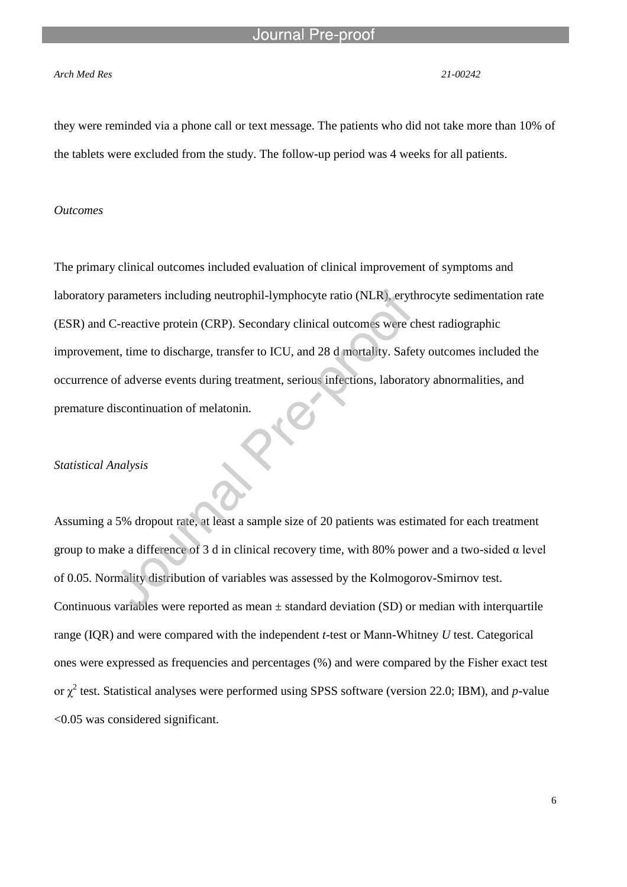#### *Arch Med Res 21-00242*

they were reminded via a phone call or text message. The patients who did not take more than 10% of the tablets were excluded from the study. The follow-up period was 4 weeks for all patients.

#### *Outcomes*

The primary clinical outcomes included evaluation of clinical improvement of symptoms and laboratory parameters including neutrophil-lymphocyte ratio (NLR), erythrocyte sedimentation rate (ESR) and C-reactive protein (CRP). Secondary clinical outcomes were chest radiographic improvement, time to discharge, transfer to ICU, and 28 d mortality. Safety outcomes included the occurrence of adverse events during treatment, serious infections, laboratory abnormalities, and premature discontinuation of melatonin.

#### *Statistical Analysis*

Assuming a 5% dropout rate, at least a sample size of 20 patients was estimated for each treatment group to make a difference of 3 d in clinical recovery time, with 80% power and a two-sided α level of 0.05. Normality distribution of variables was assessed by the Kolmogorov-Smirnov test. Continuous variables were reported as mean  $\pm$  standard deviation (SD) or median with interquartile range (IQR) and were compared with the independent *t*-test or Mann-Whitney *U* test. Categorical ones were expressed as frequencies and percentages (%) and were compared by the Fisher exact test or  $\chi^2$  test. Statistical analyses were performed using SPSS software (version 22.0; IBM), and *p*-value <0.05 was considered significant.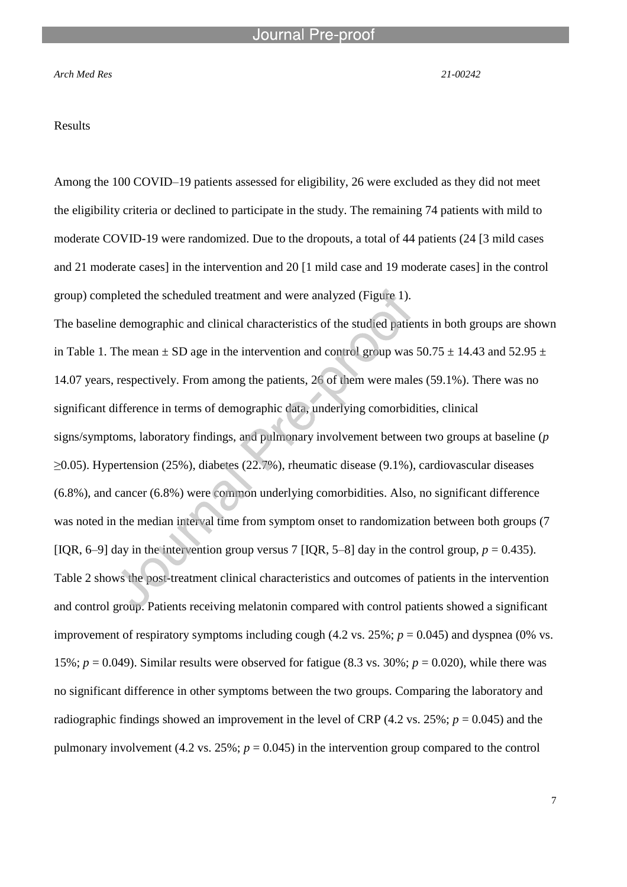#### *Arch Med Res 21-00242*

#### Results

Among the 100 COVID–19 patients assessed for eligibility, 26 were excluded as they did not meet the eligibility criteria or declined to participate in the study. The remaining 74 patients with mild to moderate COVID-19 were randomized. Due to the dropouts, a total of 44 patients (24 [3 mild cases and 21 moderate cases] in the intervention and 20 [1 mild case and 19 moderate cases] in the control group) completed the scheduled treatment and were analyzed (Figure 1).

The baseline demographic and clinical characteristics of the studied patients in both groups are shown in Table 1. The mean  $\pm$  SD age in the intervention and control group was 50.75  $\pm$  14.43 and 52.95  $\pm$ 14.07 years, respectively. From among the patients, 26 of them were males (59.1%). There was no significant difference in terms of demographic data, underlying comorbidities, clinical signs/symptoms, laboratory findings, and pulmonary involvement between two groups at baseline (*p* ≥0.05). Hypertension (25%), diabetes (22.7%), rheumatic disease (9.1%), cardiovascular diseases (6.8%), and cancer (6.8%) were common underlying comorbidities. Also, no significant difference was noted in the median interval time from symptom onset to randomization between both groups (7 [IQR, 6–9] day in the intervention group versus 7 [IQR, 5–8] day in the control group,  $p = 0.435$ ). Table 2 shows the post-treatment clinical characteristics and outcomes of patients in the intervention and control group. Patients receiving melatonin compared with control patients showed a significant improvement of respiratory symptoms including cough  $(4.2 \text{ vs. } 25\%; p = 0.045)$  and dyspnea  $(0\% \text{ vs. } 0.045)$ 15%;  $p = 0.049$ ). Similar results were observed for fatigue (8.3 vs. 30%;  $p = 0.020$ ), while there was no significant difference in other symptoms between the two groups. Comparing the laboratory and radiographic findings showed an improvement in the level of CRP (4.2 vs. 25%;  $p = 0.045$ ) and the pulmonary involvement (4.2 vs.  $25\%$ ;  $p = 0.045$ ) in the intervention group compared to the control

7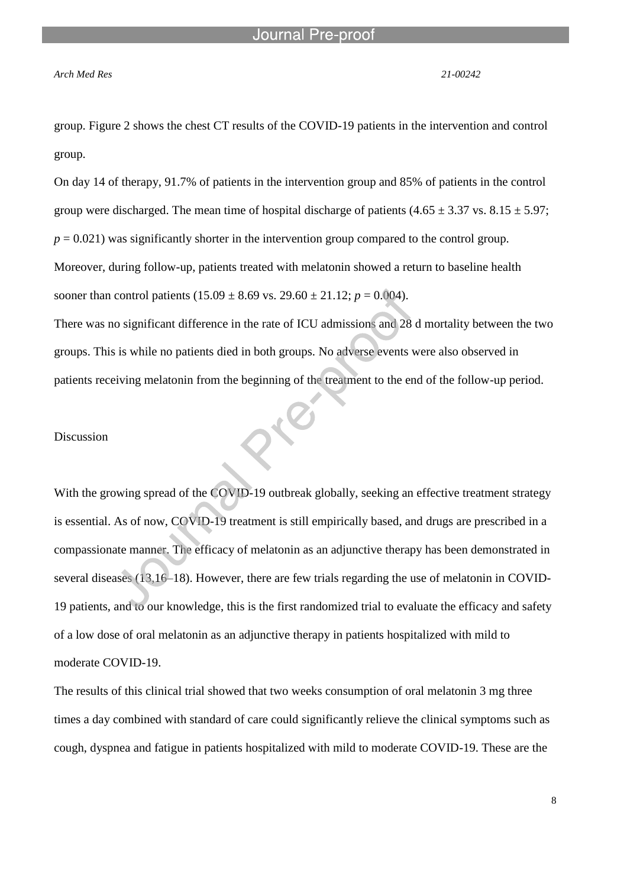l

#### *Arch Med Res 21-00242*

group. Figure 2 shows the chest CT results of the COVID-19 patients in the intervention and control group.

On day 14 of therapy, 91.7% of patients in the intervention group and 85% of patients in the control group were discharged. The mean time of hospital discharge of patients  $(4.65 \pm 3.37 \text{ vs. } 8.15 \pm 5.97)$ ;  $p = 0.021$ ) was significantly shorter in the intervention group compared to the control group. Moreover, during follow-up, patients treated with melatonin showed a return to baseline health sooner than control patients  $(15.09 \pm 8.69 \text{ vs. } 29.60 \pm 21.12; p = 0.004)$ .

There was no significant difference in the rate of ICU admissions and 28 d mortality between the two groups. This is while no patients died in both groups. No adverse events were also observed in patients receiving melatonin from the beginning of the treatment to the end of the follow-up period.

#### Discussion

With the growing spread of the COVID-19 outbreak globally, seeking an effective treatment strategy is essential. As of now, COVID-19 treatment is still empirically based, and drugs are prescribed in a compassionate manner. The efficacy of melatonin as an adjunctive therapy has been demonstrated in several diseases (13,16–18). However, there are few trials regarding the use of melatonin in COVID-19 patients, and to our knowledge, this is the first randomized trial to evaluate the efficacy and safety of a low dose of oral melatonin as an adjunctive therapy in patients hospitalized with mild to moderate COVID-19.

The results of this clinical trial showed that two weeks consumption of oral melatonin 3 mg three times a day combined with standard of care could significantly relieve the clinical symptoms such as cough, dyspnea and fatigue in patients hospitalized with mild to moderate COVID-19. These are the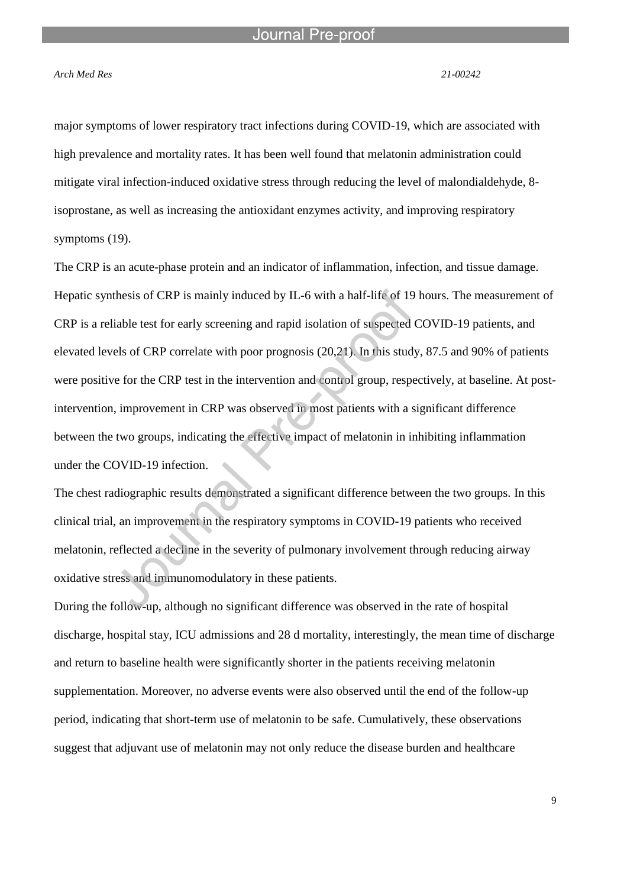#### *Arch Med Res 21-00242*

major symptoms of lower respiratory tract infections during COVID-19, which are associated with high prevalence and mortality rates. It has been well found that melatonin administration could mitigate viral infection-induced oxidative stress through reducing the level of malondialdehyde, 8 isoprostane, as well as increasing the antioxidant enzymes activity, and improving respiratory symptoms (19).

The CRP is an acute-phase protein and an indicator of inflammation, infection, and tissue damage. Hepatic synthesis of CRP is mainly induced by IL-6 with a half-life of 19 hours. The measurement of CRP is a reliable test for early screening and rapid isolation of suspected COVID-19 patients, and elevated levels of CRP correlate with poor prognosis (20,21). In this study, 87.5 and 90% of patients were positive for the CRP test in the intervention and control group, respectively, at baseline. At postintervention, improvement in CRP was observed in most patients with a significant difference between the two groups, indicating the effective impact of melatonin in inhibiting inflammation under the COVID-19 infection.

The chest radiographic results demonstrated a significant difference between the two groups. In this clinical trial, an improvement in the respiratory symptoms in COVID-19 patients who received melatonin, reflected a decline in the severity of pulmonary involvement through reducing airway oxidative stress and immunomodulatory in these patients.

During the follow-up, although no significant difference was observed in the rate of hospital discharge, hospital stay, ICU admissions and 28 d mortality, interestingly, the mean time of discharge and return to baseline health were significantly shorter in the patients receiving melatonin supplementation. Moreover, no adverse events were also observed until the end of the follow-up period, indicating that short-term use of melatonin to be safe. Cumulatively, these observations suggest that adjuvant use of melatonin may not only reduce the disease burden and healthcare

9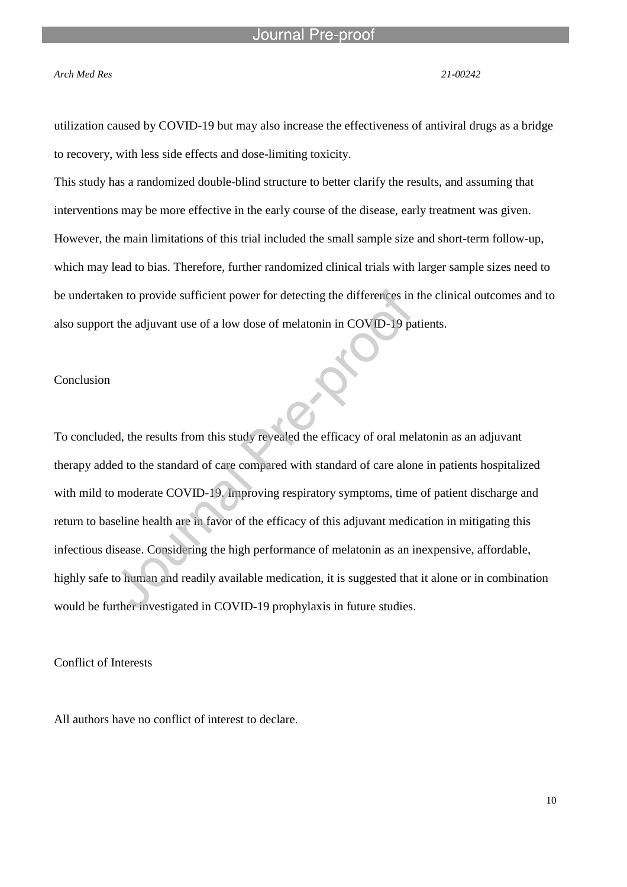#### *Arch Med Res 21-00242*

utilization caused by COVID-19 but may also increase the effectiveness of antiviral drugs as a bridge to recovery, with less side effects and dose-limiting toxicity.

This study has a randomized double-blind structure to better clarify the results, and assuming that interventions may be more effective in the early course of the disease, early treatment was given. However, the main limitations of this trial included the small sample size and short-term follow-up, which may lead to bias. Therefore, further randomized clinical trials with larger sample sizes need to be undertaken to provide sufficient power for detecting the differences in the clinical outcomes and to also support the adjuvant use of a low dose of melatonin in COVID-19 patients.

### Conclusion

To concluded, the results from this study revealed the efficacy of oral melatonin as an adjuvant therapy added to the standard of care compared with standard of care alone in patients hospitalized with mild to moderate COVID-19. Improving respiratory symptoms, time of patient discharge and return to baseline health are in favor of the efficacy of this adjuvant medication in mitigating this infectious disease. Considering the high performance of melatonin as an inexpensive, affordable, highly safe to human and readily available medication, it is suggested that it alone or in combination would be further investigated in COVID-19 prophylaxis in future studies.

Conflict of Interests

All authors have no conflict of interest to declare.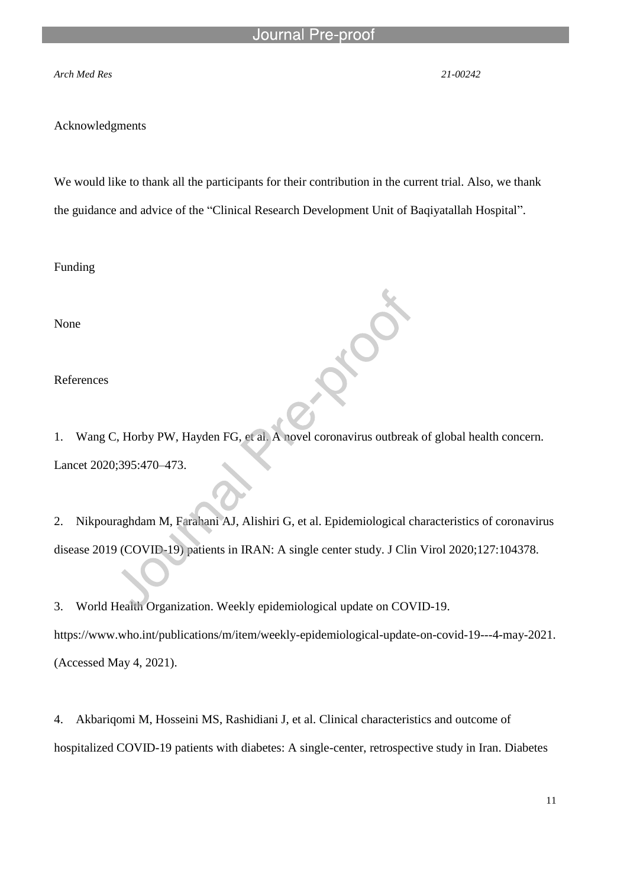l

#### *Arch Med Res 21-00242*

#### Acknowledgments

We would like to thank all the participants for their contribution in the current trial. Also, we thank the guidance and advice of the "Clinical Research Development Unit of Baqiyatallah Hospital".

Funding

None

References

1. Wang C, Horby PW, Hayden FG, et al. A novel coronavirus outbreak of global health concern. Lancet 2020;395:470–473.

 $\sum$ 

2. Nikpouraghdam M, Farahani AJ, Alishiri G, et al. Epidemiological characteristics of coronavirus disease 2019 (COVID-19) patients in IRAN: A single center study. J Clin Virol 2020;127:104378.

3. World Health Organization. Weekly epidemiological update on COVID-19. https://www.who.int/publications/m/item/weekly-epidemiological-update-on-covid-19---4-may-2021. (Accessed May 4, 2021).

4. Akbariqomi M, Hosseini MS, Rashidiani J, et al. Clinical characteristics and outcome of hospitalized COVID-19 patients with diabetes: A single-center, retrospective study in Iran. Diabetes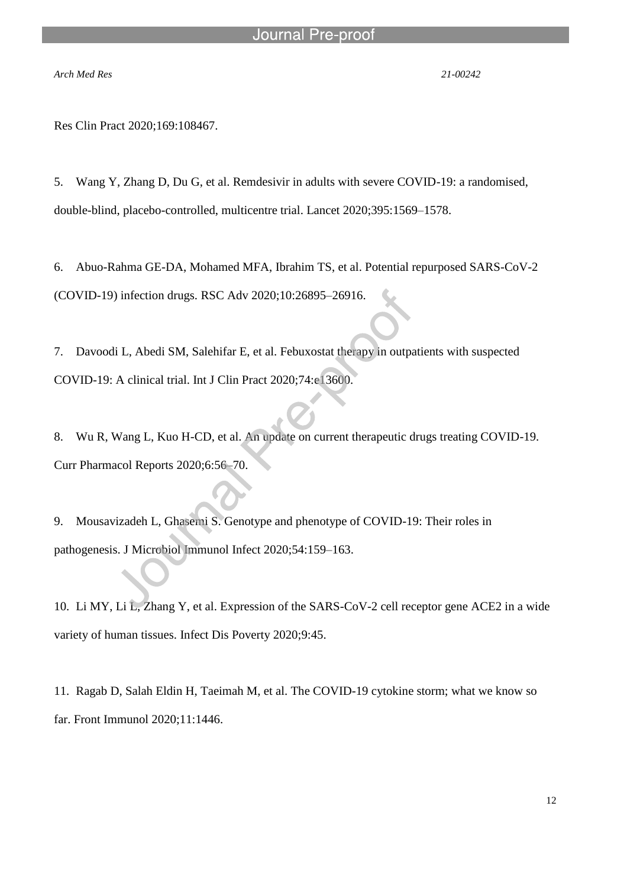l

*Arch Med Res 21-00242*

Res Clin Pract 2020;169:108467.

5. Wang Y, Zhang D, Du G, et al. Remdesivir in adults with severe COVID-19: a randomised, double-blind, placebo-controlled, multicentre trial. Lancet 2020;395:1569–1578.

6. Abuo-Rahma GE-DA, Mohamed MFA, Ibrahim TS, et al. Potential repurposed SARS-CoV-2 (COVID-19) infection drugs. RSC Adv 2020;10:26895–26916.

7. Davoodi L, Abedi SM, Salehifar E, et al. Febuxostat therapy in outpatients with suspected COVID-19: A clinical trial. Int J Clin Pract 2020;74:e13600.

8. Wu R, Wang L, Kuo H-CD, et al. An update on current therapeutic drugs treating COVID-19. Curr Pharmacol Reports 2020;6:56–70.

9. Mousavizadeh L, Ghasemi S. Genotype and phenotype of COVID-19: Their roles in pathogenesis. J Microbiol Immunol Infect 2020;54:159–163.

10. Li MY, Li L, Zhang Y, et al. Expression of the SARS-CoV-2 cell receptor gene ACE2 in a wide variety of human tissues. Infect Dis Poverty 2020;9:45.

11. Ragab D, Salah Eldin H, Taeimah M, et al. The COVID-19 cytokine storm; what we know so far. Front Immunol 2020;11:1446.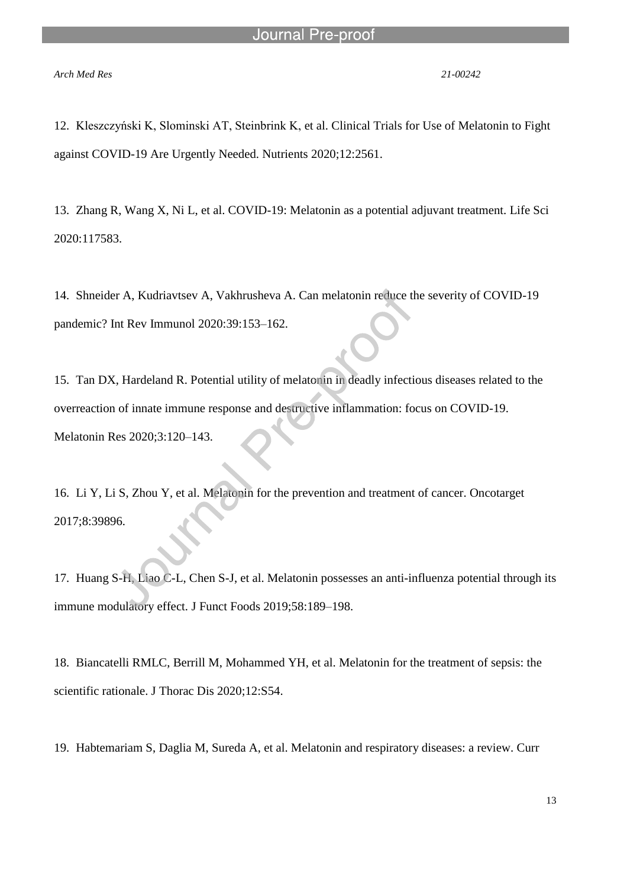#### *Arch Med Res 21-00242*

12. Kleszczyński K, Slominski AT, Steinbrink K, et al. Clinical Trials for Use of Melatonin to Fight against COVID-19 Are Urgently Needed. Nutrients 2020;12:2561.

13. Zhang R, Wang X, Ni L, et al. COVID-19: Melatonin as a potential adjuvant treatment. Life Sci 2020:117583.

14. Shneider A, Kudriavtsev A, Vakhrusheva A. Can melatonin reduce the severity of COVID-19 pandemic? Int Rev Immunol 2020:39:153–162.

15. Tan DX, Hardeland R. Potential utility of melatonin in deadly infectious diseases related to the overreaction of innate immune response and destructive inflammation: focus on COVID-19. Melatonin Res 2020;3:120–143.

16. Li Y, Li S, Zhou Y, et al. Melatonin for the prevention and treatment of cancer. Oncotarget 2017;8:39896.

17. Huang S-H, Liao C-L, Chen S-J, et al. Melatonin possesses an anti-influenza potential through its immune modulatory effect. J Funct Foods 2019;58:189–198.

18. Biancatelli RMLC, Berrill M, Mohammed YH, et al. Melatonin for the treatment of sepsis: the scientific rationale. J Thorac Dis 2020;12:S54.

19. Habtemariam S, Daglia M, Sureda A, et al. Melatonin and respiratory diseases: a review. Curr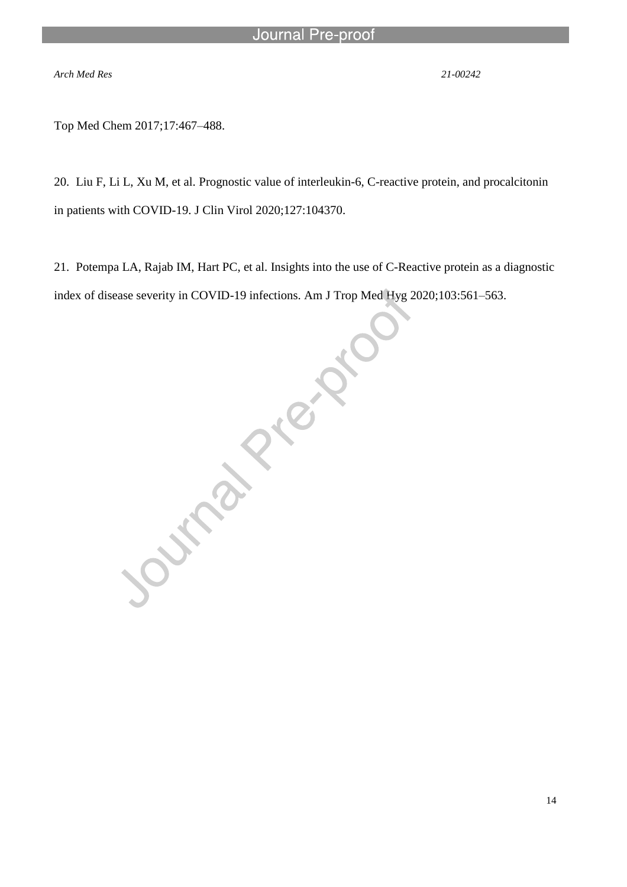l

*Arch Med Res 21-00242*

Top Med Chem 2017;17:467–488.

20. Liu F, Li L, Xu M, et al. Prognostic value of interleukin-6, C-reactive protein, and procalcitonin in patients with COVID-19. J Clin Virol 2020;127:104370.

21. Potempa LA, Rajab IM, Hart PC, et al. Insights into the use of C-Reactive protein as a diagnostic index of disease severity in COVID-19 infections. Am J Trop Med Hyg 2020;103:561–563.

Journal Prickly or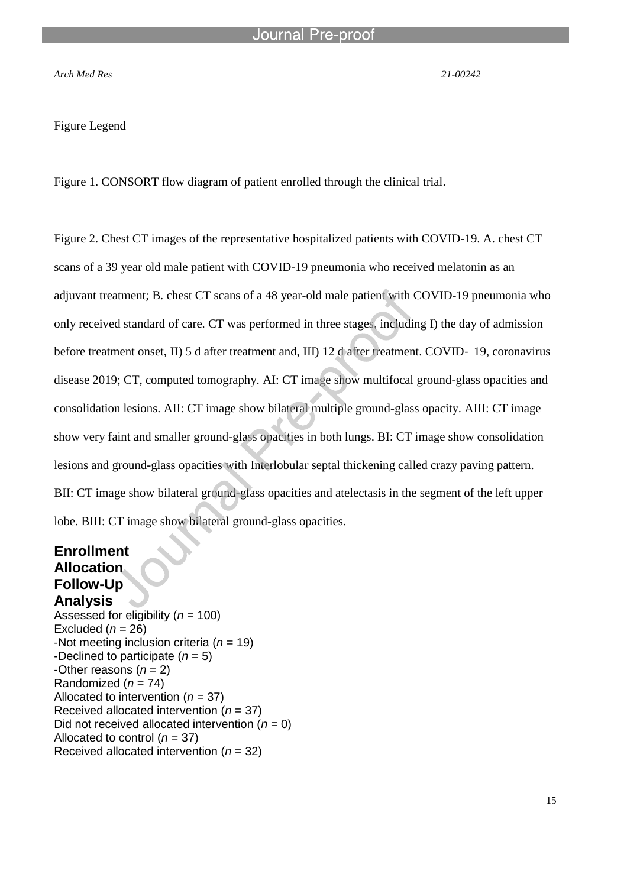#### *Arch Med Res 21-00242*

#### Figure Legend

Figure 1. CONSORT flow diagram of patient enrolled through the clinical trial.

l

Figure 2. Chest CT images of the representative hospitalized patients with COVID-19. A. chest CT scans of a 39 year old male patient with COVID-19 pneumonia who received melatonin as an adjuvant treatment; B. chest CT scans of a 48 year-old male patient with COVID-19 pneumonia who only received standard of care. CT was performed in three stages, including I) the day of admission before treatment onset, II) 5 d after treatment and, III) 12 d after treatment. COVID- 19, coronavirus disease 2019; CT, computed tomography. AI: CT image show multifocal ground-glass opacities and consolidation lesions. AII: CT image show bilateral multiple ground-glass opacity. AIII: CT image show very faint and smaller ground-glass opacities in both lungs. BI: CT image show consolidation lesions and ground-glass opacities with Interlobular septal thickening called crazy paving pattern. BII: CT image show bilateral ground-glass opacities and atelectasis in the segment of the left upper lobe. BIII: CT image show bilateral ground-glass opacities.

# **Enrollment Allocation Follow-Up**

**Analysis** Assessed for eligibility (*n* = 100) Excluded  $(n = 26)$ -Not meeting inclusion criteria (*n* = 19) -Declined to participate (*n* = 5) -Other reasons  $(n = 2)$ Randomized  $(n = 74)$ Allocated to intervention (*n* = 37) Received allocated intervention (*n* = 37) Did not received allocated intervention  $(n = 0)$ Allocated to control (*n* = 37) Received allocated intervention (*n* = 32)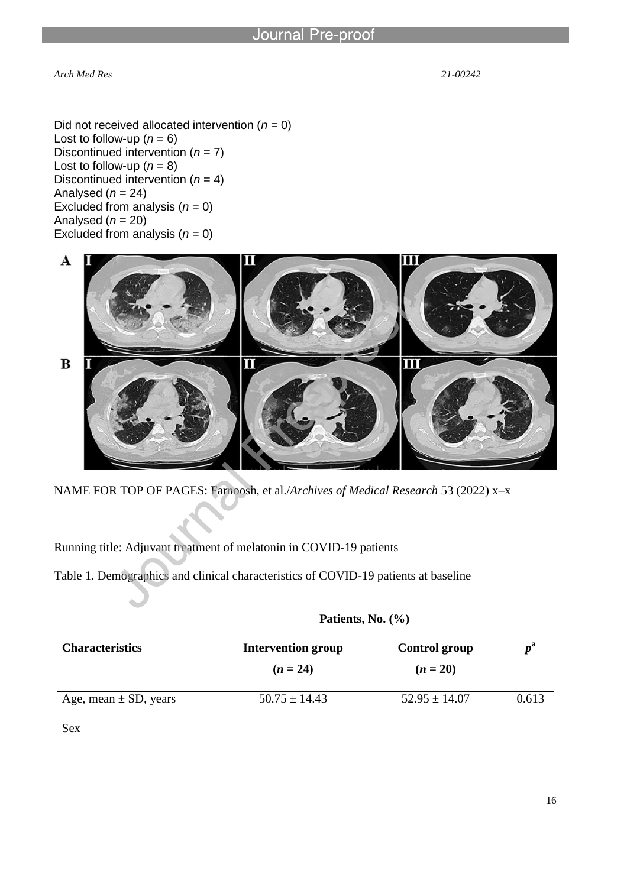*Arch Med Res 21-00242*

Did not received allocated intervention  $(n = 0)$ Lost to follow-up  $(n = 6)$ Discontinued intervention (*n* = 7) Lost to follow-up  $(n = 8)$ Discontinued intervention (*n* = 4) Analysed  $(n = 24)$ Excluded from analysis  $(n = 0)$ Analysed (*n* = 20) Excluded from analysis  $(n = 0)$ 

l



NAME FOR TOP OF PAGES: Farnoosh, et al./*Archives of Medical Research* 53 (2022) x–x

Running title: Adjuvant treatment of melatonin in COVID-19 patients

Table 1. Demographics and clinical characteristics of COVID-19 patients at baseline

|                           | Patients, No. $(\% )$                   |                                    |             |
|---------------------------|-----------------------------------------|------------------------------------|-------------|
| <b>Characteristics</b>    | <b>Intervention group</b><br>$(n = 24)$ | <b>Control group</b><br>$(n = 20)$ | $p^{\rm a}$ |
| Age, mean $\pm$ SD, years | $50.75 \pm 14.43$                       | $52.95 \pm 14.07$                  | 0.613       |

Sex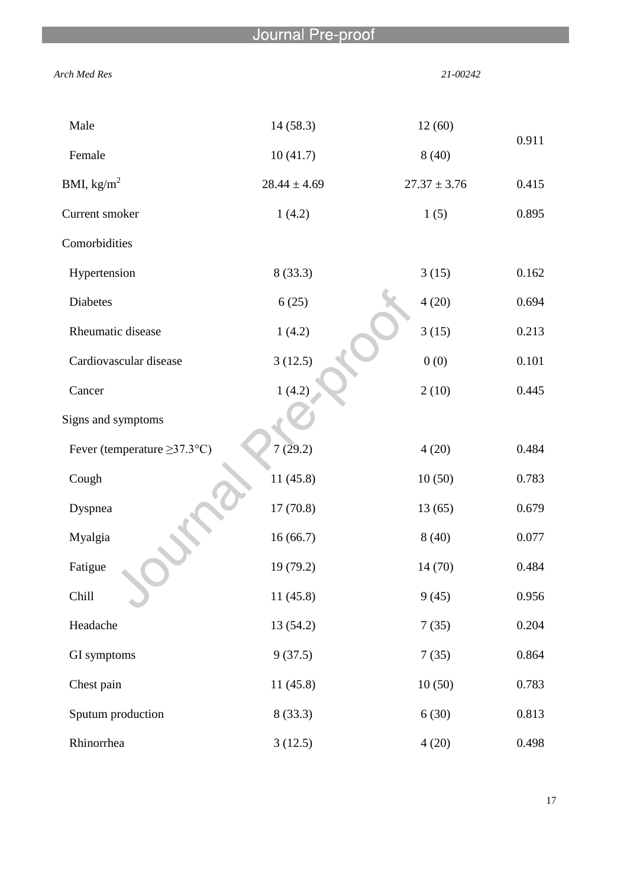l

| Arch Med Res                      |                  |                  | 21-00242 |  |
|-----------------------------------|------------------|------------------|----------|--|
| Male                              | 14(58.3)         | 12(60)           |          |  |
| Female                            | 10(41.7)         | 8(40)            | 0.911    |  |
| BMI, $\text{kg/m}^2$              | $28.44 \pm 4.69$ | $27.37 \pm 3.76$ | 0.415    |  |
| Current smoker                    | 1(4.2)           | 1(5)             | 0.895    |  |
| Comorbidities                     |                  |                  |          |  |
| Hypertension                      | 8(33.3)          | 3(15)            | 0.162    |  |
| <b>Diabetes</b>                   | 6(25)            | 4(20)            | 0.694    |  |
| Rheumatic disease                 | 1(4.2)           | 3(15)            | 0.213    |  |
| Cardiovascular disease            | 3(12.5)          | 0(0)             | 0.101    |  |
| Cancer                            | 1(4.2)           | 2(10)            | 0.445    |  |
| Signs and symptoms                |                  |                  |          |  |
| Fever (temperature $\geq$ 37.3°C) | 7(29.2)          | 4(20)            | 0.484    |  |
| Cough                             | 11(45.8)         | 10(50)           | 0.783    |  |
| Dyspnea                           | 17(70.8)         | 13(65)           | 0.679    |  |
| Myalgia                           | 16(66.7)         | 8(40)            | 0.077    |  |
| Fatigue                           | 19(79.2)         | 14 (70)          | 0.484    |  |
| Chill                             | 11(45.8)         | 9(45)            | 0.956    |  |
| Headache                          | 13(54.2)         | 7(35)            | 0.204    |  |
| GI symptoms                       | 9(37.5)          | 7(35)            | 0.864    |  |
| Chest pain                        | 11(45.8)         | 10(50)           | 0.783    |  |
| Sputum production                 | 8(33.3)          | 6(30)            | 0.813    |  |
| Rhinorrhea                        | 3(12.5)          | 4(20)            | 0.498    |  |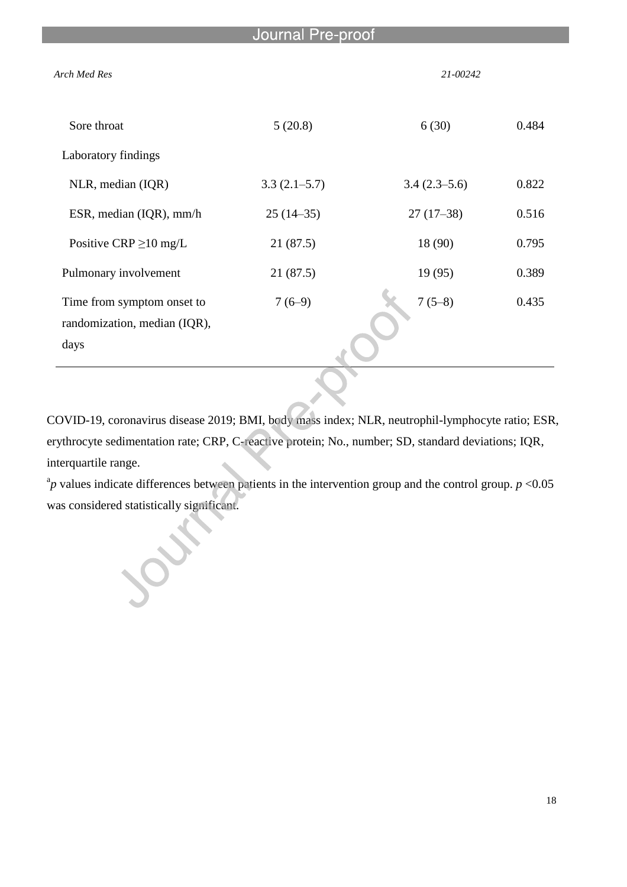| Journal Pre-proof                                                  |                |                |       |
|--------------------------------------------------------------------|----------------|----------------|-------|
| <b>Arch Med Res</b>                                                |                | 21-00242       |       |
| Sore throat                                                        | 5(20.8)        | 6(30)          | 0.484 |
| Laboratory findings                                                |                |                |       |
| NLR, median (IQR)                                                  | $3.3(2.1-5.7)$ | $3.4(2.3-5.6)$ | 0.822 |
| ESR, median (IQR), mm/h                                            | $25(14-35)$    | $27(17-38)$    | 0.516 |
| Positive CRP $\geq$ 10 mg/L                                        | 21(87.5)       | 18 (90)        | 0.795 |
| Pulmonary involvement                                              | 21(87.5)       | 19 (95)        | 0.389 |
| Time from symptom onset to<br>randomization, median (IQR),<br>days | $7(6-9)$       | $7(5-8)$       | 0.435 |

COVID-19, coronavirus disease 2019; BMI, body mass index; NLR, neutrophil-lymphocyte ratio; ESR, erythrocyte sedimentation rate; CRP, C-reactive protein; No., number; SD, standard deviations; IQR, interquartile range.

 $^{a}$ *p* values indicate differences between patients in the intervention group and the control group. *p* <0.05 was considered statistically significant.

over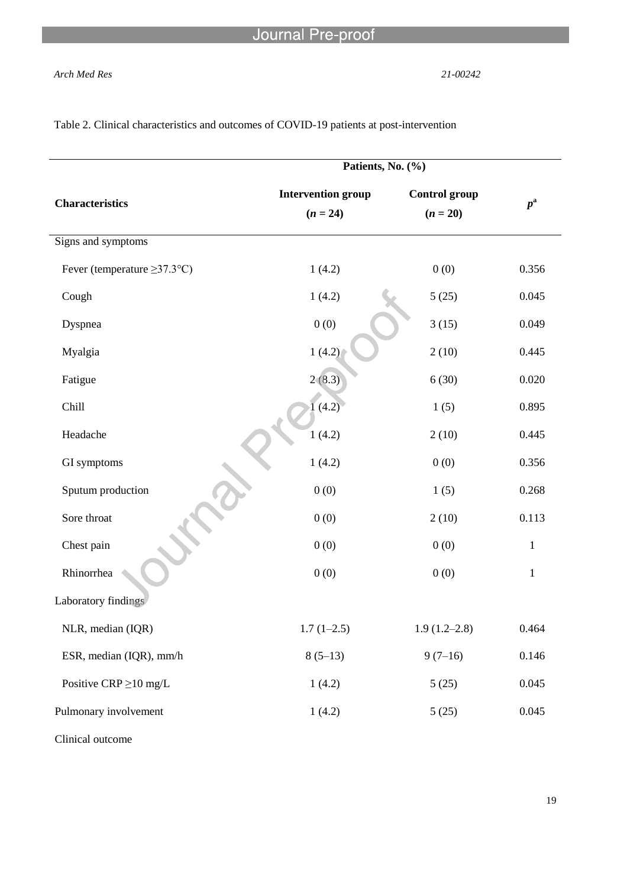### *Arch Med Res 21-00242*

|                                   | Patients, No. (%)         |                      |              |
|-----------------------------------|---------------------------|----------------------|--------------|
| <b>Characteristics</b>            | <b>Intervention group</b> | <b>Control</b> group | $p^{\rm a}$  |
|                                   | $(n = 24)$                | $(n = 20)$           |              |
| Signs and symptoms                |                           |                      |              |
| Fever (temperature $\geq$ 37.3°C) | 1(4.2)                    | 0(0)                 | 0.356        |
| Cough                             | 1(4.2)                    | 5(25)                | 0.045        |
| Dyspnea                           | 0(0)                      | 3(15)                | 0.049        |
| Myalgia                           | 1(4.2)                    | 2(10)                | 0.445        |
| Fatigue                           | 2(8.3)                    | 6(30)                | 0.020        |
| Chill                             | (4.2)                     | 1(5)                 | 0.895        |
| Headache                          | 1(4.2)                    | 2(10)                | 0.445        |
| GI symptoms                       | 1(4.2)                    | 0(0)                 | 0.356        |
| Sputum production                 | 0(0)                      | 1(5)                 | 0.268        |
| Sore throat                       | 0(0)                      | 2(10)                | 0.113        |
| Chest pain                        | 0(0)                      | 0(0)                 | $\mathbf{1}$ |
| Rhinorrhea                        | 0(0)                      | 0(0)                 | $\mathbf{1}$ |
| Laboratory findings               |                           |                      |              |
| NLR, median (IQR)                 | $1.7(1-2.5)$              | $1.9(1.2 - 2.8)$     | 0.464        |
| ESR, median (IQR), mm/h           | $8(5-13)$                 | $9(7-16)$            | 0.146        |
| Positive CRP $\geq$ 10 mg/L       | 1(4.2)                    | 5(25)                | 0.045        |
| Pulmonary involvement             | 1(4.2)                    | 5(25)                | 0.045        |
|                                   |                           |                      |              |

Table 2. Clinical characteristics and outcomes of COVID-19 patients at post-intervention

l

Clinical outcome